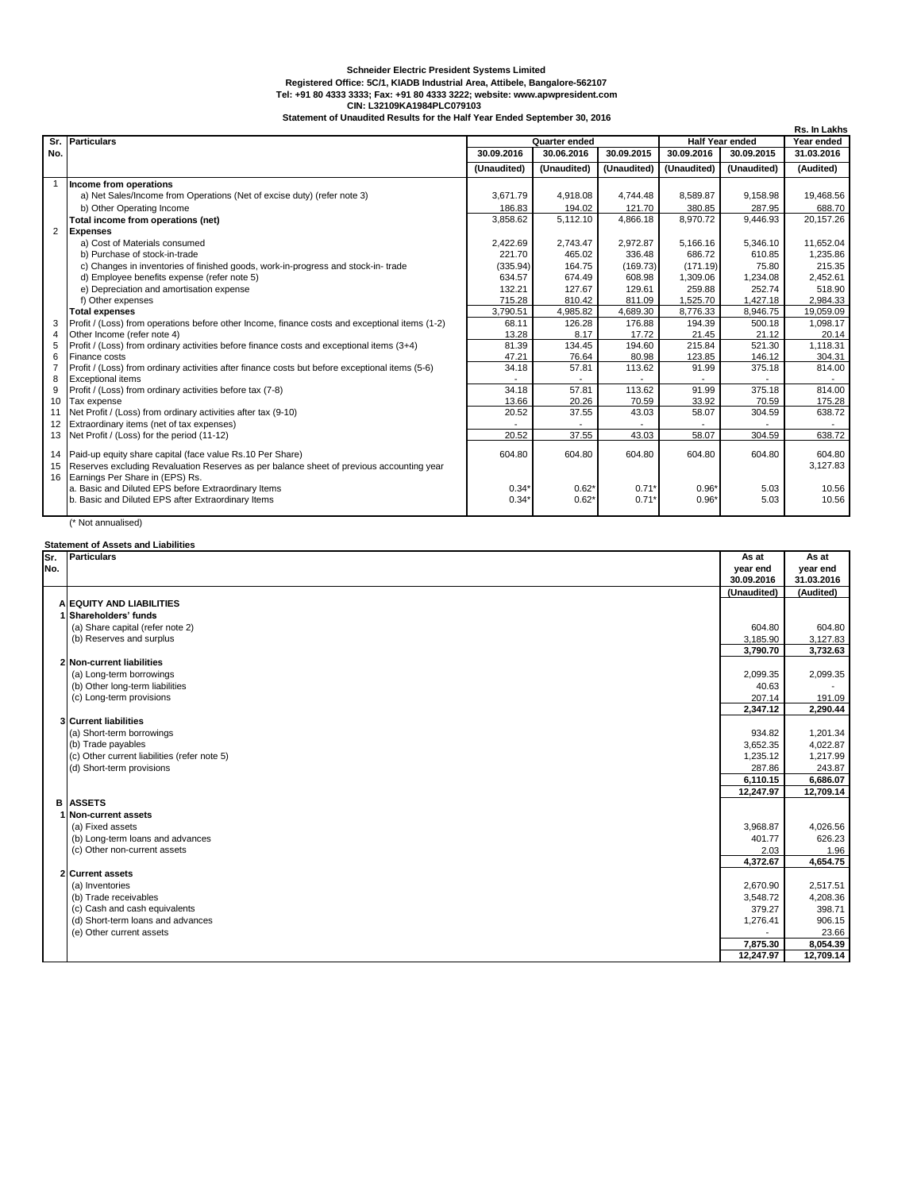## **Schneider Electric President Systems Limited**

**Registered Office: 5C/1, KIADB Industrial Area, Attibele, Bangalore-562107 Tel: +91 80 4333 3333; Fax: +91 80 4333 3222; website: www.apwpresident.com CIN: L32109KA1984PLC079103**

**Statement of Unaudited Results for the Half Year Ended September 30, 2016**

|                |                                                                                                 |               |             |             |                        |             | Rs. In Lakhs |
|----------------|-------------------------------------------------------------------------------------------------|---------------|-------------|-------------|------------------------|-------------|--------------|
| Sr.            | Particulars                                                                                     | Quarter ended |             |             | <b>Half Year ended</b> |             | Year ended   |
| No.            |                                                                                                 | 30.09.2016    | 30.06.2016  | 30.09.2015  | 30.09.2016             | 30.09.2015  | 31.03.2016   |
|                |                                                                                                 | (Unaudited)   | (Unaudited) | (Unaudited) | (Unaudited)            | (Unaudited) | (Audited)    |
|                | Income from operations                                                                          |               |             |             |                        |             |              |
|                | a) Net Sales/Income from Operations (Net of excise duty) (refer note 3)                         | 3.671.79      | 4,918.08    | 4,744.48    | 8,589.87               | 9,158.98    | 19,468.56    |
|                | b) Other Operating Income                                                                       | 186.83        | 194.02      | 121.70      | 380.85                 | 287.95      | 688.70       |
|                | Total income from operations (net)                                                              | 3,858.62      | 5,112.10    | 4,866.18    | 8,970.72               | 9,446.93    | 20,157.26    |
| 2              | <b>Expenses</b>                                                                                 |               |             |             |                        |             |              |
|                | a) Cost of Materials consumed                                                                   | 2,422.69      | 2.743.47    | 2,972.87    | 5.166.16               | 5.346.10    | 11,652.04    |
|                | b) Purchase of stock-in-trade                                                                   | 221.70        | 465.02      | 336.48      | 686.72                 | 610.85      | 1.235.86     |
|                | c) Changes in inventories of finished goods, work-in-progress and stock-in-trade                | (335.94)      | 164.75      | (169.73)    | (171.19)               | 75.80       | 215.35       |
|                | d) Employee benefits expense (refer note 5)                                                     | 634.57        | 674.49      | 608.98      | 1.309.06               | 1.234.08    | 2,452.61     |
|                | e) Depreciation and amortisation expense                                                        | 132.21        | 127.67      | 129.61      | 259.88                 | 252.74      | 518.90       |
|                | f) Other expenses                                                                               | 715.28        | 810.42      | 811.09      | 1,525.70               | 1,427.18    | 2,984.33     |
|                | <b>Total expenses</b>                                                                           | 3,790.51      | 4,985.82    | 4,689.30    | 8,776.33               | 8,946.75    | 19,059.09    |
| 3              | Profit / (Loss) from operations before other Income, finance costs and exceptional items (1-2)  | 68.11         | 126.28      | 176.88      | 194.39                 | 500.18      | 1,098.17     |
| 4              | Other Income (refer note 4)                                                                     | 13.28         | 8.17        | 17.72       | 21.45                  | 21.12       | 20.14        |
| 5              | Profit / (Loss) from ordinary activities before finance costs and exceptional items (3+4)       | 81.39         | 134.45      | 194.60      | 215.84                 | 521.30      | 1.118.31     |
| 6              | Finance costs                                                                                   | 47.21         | 76.64       | 80.98       | 123.85                 | 146.12      | 304.31       |
| $\overline{7}$ | Profit / (Loss) from ordinary activities after finance costs but before exceptional items (5-6) | 34.18         | 57.81       | 113.62      | 91.99                  | 375.18      | 814.00       |
| 8              | <b>Exceptional items</b>                                                                        |               |             |             |                        |             |              |
| 9              | Profit / (Loss) from ordinary activities before tax (7-8)                                       | 34.18         | 57.81       | 113.62      | 91.99                  | 375.18      | 814.00       |
| 10             | Tax expense                                                                                     | 13.66         | 20.26       | 70.59       | 33.92                  | 70.59       | 175.28       |
| 11             | Net Profit / (Loss) from ordinary activities after tax (9-10)                                   | 20.52         | 37.55       | 43.03       | 58.07                  | 304.59      | 638.72       |
| 12             | Extraordinary items (net of tax expenses)                                                       |               |             |             |                        |             |              |
|                | 13 Net Profit / (Loss) for the period (11-12)                                                   | 20.52         | 37.55       | 43.03       | 58.07                  | 304.59      | 638.72       |
|                | 14 Paid-up equity share capital (face value Rs.10 Per Share)                                    | 604.80        | 604.80      | 604.80      | 604.80                 | 604.80      | 604.80       |
| 15             | Reserves excluding Revaluation Reserves as per balance sheet of previous accounting year        |               |             |             |                        |             | 3,127.83     |
|                | 16 Earnings Per Share in (EPS) Rs.                                                              |               |             |             |                        |             |              |
|                | a. Basic and Diluted EPS before Extraordinary Items                                             | $0.34*$       | $0.62*$     | $0.71*$     | $0.96*$                | 5.03        | 10.56        |
|                | b. Basic and Diluted EPS after Extraordinary Items                                              | 0.34'         | $0.62*$     | 0.71'       | $0.96*$                | 5.03        | 10.56        |
|                |                                                                                                 |               |             |             |                        |             |              |

(\* Not annualised)

| <b>Statement of Assets and Liabilities</b> |                                              |             |            |  |  |  |  |  |  |
|--------------------------------------------|----------------------------------------------|-------------|------------|--|--|--|--|--|--|
| Sr.                                        | <b>Particulars</b>                           | As at       | As at      |  |  |  |  |  |  |
| No.                                        |                                              | year end    | year end   |  |  |  |  |  |  |
|                                            |                                              | 30.09.2016  | 31.03.2016 |  |  |  |  |  |  |
|                                            |                                              | (Unaudited) | (Audited)  |  |  |  |  |  |  |
|                                            | A EQUITY AND LIABILITIES                     |             |            |  |  |  |  |  |  |
|                                            | 1 Shareholders' funds                        |             |            |  |  |  |  |  |  |
|                                            | (a) Share capital (refer note 2)             | 604.80      | 604.80     |  |  |  |  |  |  |
|                                            | (b) Reserves and surplus                     | 3,185.90    | 3,127.83   |  |  |  |  |  |  |
|                                            |                                              | 3,790.70    | 3,732.63   |  |  |  |  |  |  |
|                                            | 2 Non-current liabilities                    |             |            |  |  |  |  |  |  |
|                                            | (a) Long-term borrowings                     | 2,099.35    | 2,099.35   |  |  |  |  |  |  |
|                                            | (b) Other long-term liabilities              | 40.63       |            |  |  |  |  |  |  |
|                                            | (c) Long-term provisions                     | 207.14      | 191.09     |  |  |  |  |  |  |
|                                            |                                              | 2,347.12    | 2,290.44   |  |  |  |  |  |  |
|                                            | <b>3</b> Current liabilities                 |             |            |  |  |  |  |  |  |
|                                            | (a) Short-term borrowings                    | 934.82      | 1,201.34   |  |  |  |  |  |  |
|                                            | (b) Trade payables                           | 3,652.35    | 4.022.87   |  |  |  |  |  |  |
|                                            | (c) Other current liabilities (refer note 5) | 1,235.12    | 1,217.99   |  |  |  |  |  |  |
|                                            | (d) Short-term provisions                    | 287.86      | 243.87     |  |  |  |  |  |  |
|                                            |                                              | 6,110.15    | 6,686.07   |  |  |  |  |  |  |
|                                            |                                              | 12,247.97   | 12,709.14  |  |  |  |  |  |  |
|                                            | <b>B</b> ASSETS                              |             |            |  |  |  |  |  |  |
|                                            | 1 Non-current assets                         |             |            |  |  |  |  |  |  |
|                                            | (a) Fixed assets                             | 3,968.87    | 4,026.56   |  |  |  |  |  |  |
|                                            | (b) Long-term loans and advances             | 401.77      | 626.23     |  |  |  |  |  |  |
|                                            | (c) Other non-current assets                 | 2.03        | 1.96       |  |  |  |  |  |  |
|                                            |                                              | 4,372.67    | 4,654.75   |  |  |  |  |  |  |
|                                            | 2 Current assets                             |             |            |  |  |  |  |  |  |
|                                            | (a) Inventories                              | 2,670.90    | 2,517.51   |  |  |  |  |  |  |
|                                            | (b) Trade receivables                        | 3,548.72    | 4,208.36   |  |  |  |  |  |  |
|                                            | (c) Cash and cash equivalents                | 379.27      | 398.71     |  |  |  |  |  |  |
|                                            | (d) Short-term loans and advances            | 1,276.41    | 906.15     |  |  |  |  |  |  |
|                                            | (e) Other current assets                     |             | 23.66      |  |  |  |  |  |  |
|                                            |                                              | 7,875.30    | 8,054.39   |  |  |  |  |  |  |
|                                            |                                              | 12.247.97   | 12,709.14  |  |  |  |  |  |  |